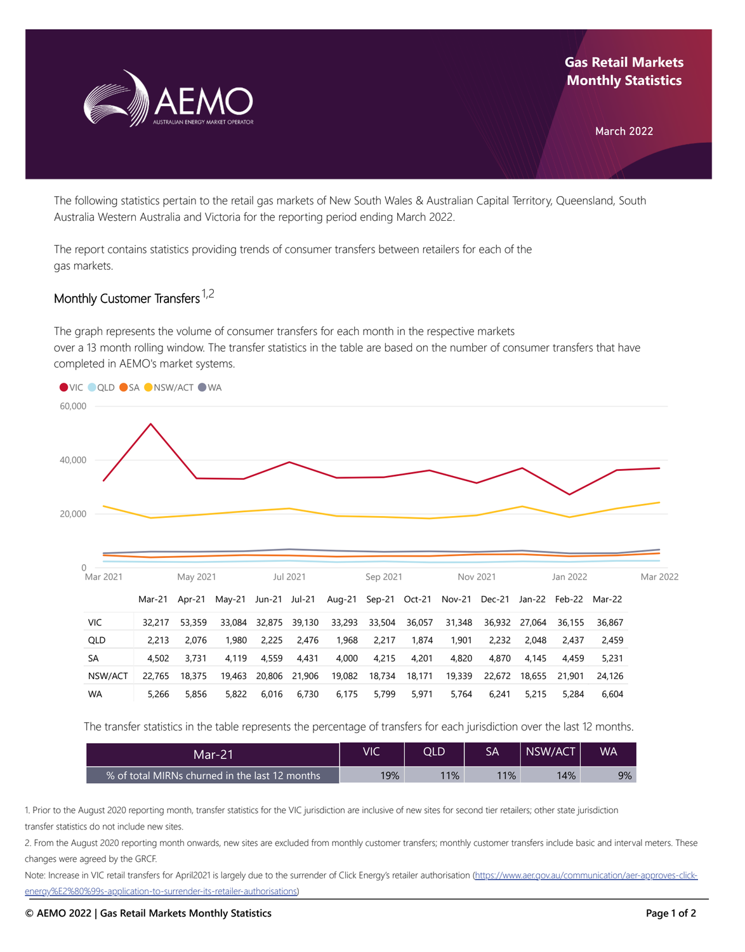

## **Gas Retail Markets Monthly Statistics**

March 2022

The following statistics pertain to the retail gas markets of New South Wales & Australian Capital Territory, Queensland, South Australia Western Australia and Victoria for the reporting period ending March 2022.

The report contains statistics providing trends of consumer transfers between retailers for each of the gas markets.

## Monthly Customer Transfers <sup>1,2</sup>

The graph represents the volume of consumer transfers for each month in the respective markets over a 13 month rolling window. The transfer statistics in the table are based on the number of consumer transfers that have completed in AEMO's market systems.



The transfer statistics in the table represents the percentage of transfers for each jurisdiction over the last 12 months.

| Mar-21                                         | ViC | OLD | SA  | NSW/ACT | WA |
|------------------------------------------------|-----|-----|-----|---------|----|
| % of total MIRNs churned in the last 12 months | 19% | 11% | 11% | 14%     | 9% |

1. Prior to the August 2020 reporting month, transfer statistics for the VIC jurisdiction are inclusive of new sites for second tier retailers; other state jurisdiction transfer statistics do not include new sites.

2. From the August 2020 reporting month onwards, new sites are excluded from monthly customer transfers; monthly customer transfers include basic and interval meters. These changes were agreed by the GRCF.

Note: Increase in VIC retail transfers for April2021 is largely due to the surrender of Click Energy's retailer authorisation (https://www.aer.gov.au/communication/aer-approves-click[energy%E2%80%99s-application-to-surrender-its-retailer-authorisations\)](https://www.aer.gov.au/communication/aer-approves-click-energy%E2%80%99s-application-to-surrender-its-retailer-authorisations)